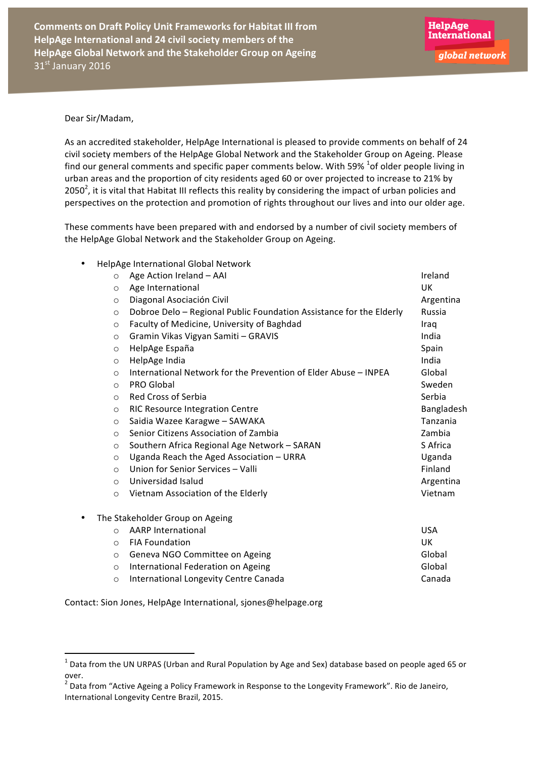#### Dear Sir/Madam,

As an accredited stakeholder, HelpAge International is pleased to provide comments on behalf of 24 civil society members of the HelpAge Global Network and the Stakeholder Group on Ageing. Please find our general comments and specific paper comments below. With 59%  $^1$ of older people living in urban areas and the proportion of city residents aged 60 or over projected to increase to 21% by 2050<sup>2</sup>, it is vital that Habitat III reflects this reality by considering the impact of urban policies and perspectives on the protection and promotion of rights throughout our lives and into our older age.

These comments have been prepared with and endorsed by a number of civil society members of the HelpAge Global Network and the Stakeholder Group on Ageing.

| ٠ | HelpAge International Global Network |                                                                     |            |
|---|--------------------------------------|---------------------------------------------------------------------|------------|
|   | $\circ$                              | Age Action Ireland - AAI                                            | Ireland    |
|   | $\circ$                              | Age International                                                   | <b>UK</b>  |
|   | $\circ$                              | Diagonal Asociación Civil                                           | Argentina  |
|   | $\circ$                              | Dobroe Delo - Regional Public Foundation Assistance for the Elderly | Russia     |
|   | $\circ$                              | Faculty of Medicine, University of Baghdad                          | Iraq       |
|   | $\circ$                              | Gramin Vikas Vigyan Samiti - GRAVIS                                 | India      |
|   | $\circ$                              | HelpAge España                                                      | Spain      |
|   | $\circ$                              | HelpAge India                                                       | India      |
|   | $\circ$                              | International Network for the Prevention of Elder Abuse - INPEA     | Global     |
|   | $\circ$                              | <b>PRO Global</b>                                                   | Sweden     |
|   | $\circ$                              | Red Cross of Serbia                                                 | Serbia     |
|   | $\circ$                              | <b>RIC Resource Integration Centre</b>                              | Bangladesh |
|   | $\circ$                              | Saidia Wazee Karagwe - SAWAKA                                       | Tanzania   |
|   | $\circ$                              | Senior Citizens Association of Zambia                               | Zambia     |
|   | $\circ$                              | Southern Africa Regional Age Network - SARAN                        | S Africa   |
|   | $\circ$                              | Uganda Reach the Aged Association - URRA                            | Uganda     |
|   | $\circ$                              | Union for Senior Services - Valli                                   | Finland    |
|   | $\circ$                              | Universidad Isalud                                                  | Argentina  |
|   | $\circ$                              | Vietnam Association of the Elderly                                  | Vietnam    |
| ٠ | The Stakeholder Group on Ageing      |                                                                     |            |
|   | $\circ$                              | <b>AARP International</b>                                           | <b>USA</b> |
|   | $\circ$                              | <b>FIA Foundation</b>                                               | UK         |
|   | $\circ$                              | Geneva NGO Committee on Ageing                                      | Global     |
|   | $\circ$                              | International Federation on Ageing                                  | Global     |
|   | $\circ$                              | International Longevity Centre Canada                               | Canada     |

Contact: Sion Jones, HelpAge International, sjones@helpage.org

 $1$  Data from the UN URPAS (Urban and Rural Population by Age and Sex) database based on people aged 65 or over. 

 $^{2}$  Data from "Active Ageing a Policy Framework in Response to the Longevity Framework". Rio de Janeiro, International Longevity Centre Brazil, 2015.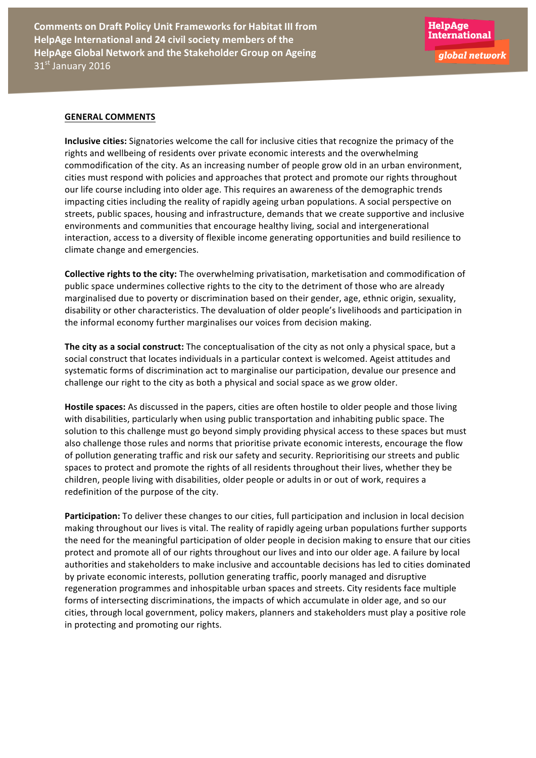#### **GENERAL COMMENTS**

**Inclusive cities:** Signatories welcome the call for inclusive cities that recognize the primacy of the rights and wellbeing of residents over private economic interests and the overwhelming commodification of the city. As an increasing number of people grow old in an urban environment, cities must respond with policies and approaches that protect and promote our rights throughout our life course including into older age. This requires an awareness of the demographic trends impacting cities including the reality of rapidly ageing urban populations. A social perspective on streets, public spaces, housing and infrastructure, demands that we create supportive and inclusive environments and communities that encourage healthy living, social and intergenerational interaction, access to a diversity of flexible income generating opportunities and build resilience to climate change and emergencies.

**Collective rights to the city:** The overwhelming privatisation, marketisation and commodification of public space undermines collective rights to the city to the detriment of those who are already marginalised due to poverty or discrimination based on their gender, age, ethnic origin, sexuality, disability or other characteristics. The devaluation of older people's livelihoods and participation in the informal economy further marginalises our voices from decision making.

The city as a social construct: The conceptualisation of the city as not only a physical space, but a social construct that locates individuals in a particular context is welcomed. Ageist attitudes and systematic forms of discrimination act to marginalise our participation, devalue our presence and challenge our right to the city as both a physical and social space as we grow older.

Hostile spaces: As discussed in the papers, cities are often hostile to older people and those living with disabilities, particularly when using public transportation and inhabiting public space. The solution to this challenge must go beyond simply providing physical access to these spaces but must also challenge those rules and norms that prioritise private economic interests, encourage the flow of pollution generating traffic and risk our safety and security. Reprioritising our streets and public spaces to protect and promote the rights of all residents throughout their lives, whether they be children, people living with disabilities, older people or adults in or out of work, requires a redefinition of the purpose of the city.

Participation: To deliver these changes to our cities, full participation and inclusion in local decision making throughout our lives is vital. The reality of rapidly ageing urban populations further supports the need for the meaningful participation of older people in decision making to ensure that our cities protect and promote all of our rights throughout our lives and into our older age. A failure by local authorities and stakeholders to make inclusive and accountable decisions has led to cities dominated by private economic interests, pollution generating traffic, poorly managed and disruptive regeneration programmes and inhospitable urban spaces and streets. City residents face multiple forms of intersecting discriminations, the impacts of which accumulate in older age, and so our cities, through local government, policy makers, planners and stakeholders must play a positive role in protecting and promoting our rights.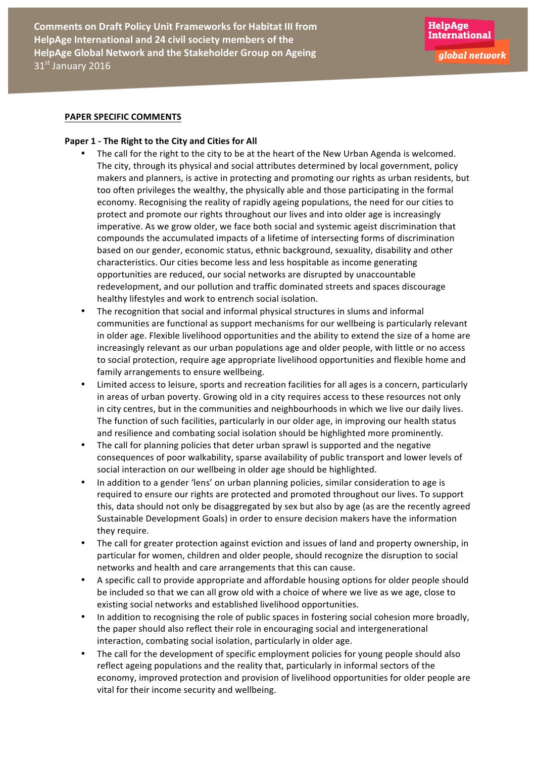# **PAPER SPECIFIC COMMENTS**

#### Paper 1 - The Right to the City and Cities for All

- The call for the right to the city to be at the heart of the New Urban Agenda is welcomed. The city, through its physical and social attributes determined by local government, policy makers and planners, is active in protecting and promoting our rights as urban residents, but too often privileges the wealthy, the physically able and those participating in the formal economy. Recognising the reality of rapidly ageing populations, the need for our cities to protect and promote our rights throughout our lives and into older age is increasingly imperative. As we grow older, we face both social and systemic ageist discrimination that compounds the accumulated impacts of a lifetime of intersecting forms of discrimination based on our gender, economic status, ethnic background, sexuality, disability and other characteristics. Our cities become less and less hospitable as income generating opportunities are reduced, our social networks are disrupted by unaccountable redevelopment, and our pollution and traffic dominated streets and spaces discourage healthy lifestyles and work to entrench social isolation.
- The recognition that social and informal physical structures in slums and informal communities are functional as support mechanisms for our wellbeing is particularly relevant in older age. Flexible livelihood opportunities and the ability to extend the size of a home are increasingly relevant as our urban populations age and older people, with little or no access to social protection, require age appropriate livelihood opportunities and flexible home and family arrangements to ensure wellbeing.
- Limited access to leisure, sports and recreation facilities for all ages is a concern, particularly in areas of urban poverty. Growing old in a city requires access to these resources not only in city centres, but in the communities and neighbourhoods in which we live our daily lives. The function of such facilities, particularly in our older age, in improving our health status and resilience and combating social isolation should be highlighted more prominently.
- The call for planning policies that deter urban sprawl is supported and the negative consequences of poor walkability, sparse availability of public transport and lower levels of social interaction on our wellbeing in older age should be highlighted.
- In addition to a gender 'lens' on urban planning policies, similar consideration to age is required to ensure our rights are protected and promoted throughout our lives. To support this, data should not only be disaggregated by sex but also by age (as are the recently agreed Sustainable Development Goals) in order to ensure decision makers have the information they require.
- The call for greater protection against eviction and issues of land and property ownership, in particular for women, children and older people, should recognize the disruption to social networks and health and care arrangements that this can cause.
- A specific call to provide appropriate and affordable housing options for older people should be included so that we can all grow old with a choice of where we live as we age, close to existing social networks and established livelihood opportunities.
- In addition to recognising the role of public spaces in fostering social cohesion more broadly, the paper should also reflect their role in encouraging social and intergenerational interaction, combating social isolation, particularly in older age.
- The call for the development of specific employment policies for young people should also reflect ageing populations and the reality that, particularly in informal sectors of the economy, improved protection and provision of livelihood opportunities for older people are vital for their income security and wellbeing.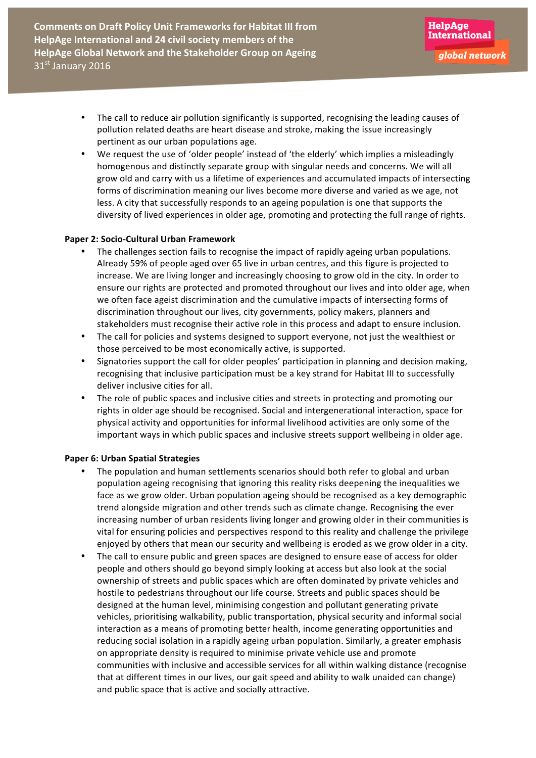- The call to reduce air pollution significantly is supported, recognising the leading causes of pollution related deaths are heart disease and stroke, making the issue increasingly pertinent as our urban populations age.
- We request the use of 'older people' instead of 'the elderly' which implies a misleadingly homogenous and distinctly separate group with singular needs and concerns. We will all grow old and carry with us a lifetime of experiences and accumulated impacts of intersecting forms of discrimination meaning our lives become more diverse and varied as we age, not less. A city that successfully responds to an ageing population is one that supports the diversity of lived experiences in older age, promoting and protecting the full range of rights.

# **Paper 2: Socio-Cultural Urban Framework**

- The challenges section fails to recognise the impact of rapidly ageing urban populations. Already 59% of people aged over 65 live in urban centres, and this figure is projected to increase. We are living longer and increasingly choosing to grow old in the city. In order to ensure our rights are protected and promoted throughout our lives and into older age, when we often face ageist discrimination and the cumulative impacts of intersecting forms of discrimination throughout our lives, city governments, policy makers, planners and stakeholders must recognise their active role in this process and adapt to ensure inclusion.
- The call for policies and systems designed to support everyone, not just the wealthiest or those perceived to be most economically active, is supported.
- Signatories support the call for older peoples' participation in planning and decision making, recognising that inclusive participation must be a key strand for Habitat III to successfully deliver inclusive cities for all.
- The role of public spaces and inclusive cities and streets in protecting and promoting our rights in older age should be recognised. Social and intergenerational interaction, space for physical activity and opportunities for informal livelihood activities are only some of the important ways in which public spaces and inclusive streets support wellbeing in older age.

# **Paper 6: Urban Spatial Strategies**

- The population and human settlements scenarios should both refer to global and urban population ageing recognising that ignoring this reality risks deepening the inequalities we face as we grow older. Urban population ageing should be recognised as a key demographic trend alongside migration and other trends such as climate change. Recognising the ever increasing number of urban residents living longer and growing older in their communities is vital for ensuring policies and perspectives respond to this reality and challenge the privilege enjoyed by others that mean our security and wellbeing is eroded as we grow older in a city.
- The call to ensure public and green spaces are designed to ensure ease of access for older people and others should go beyond simply looking at access but also look at the social ownership of streets and public spaces which are often dominated by private vehicles and hostile to pedestrians throughout our life course. Streets and public spaces should be designed at the human level, minimising congestion and pollutant generating private vehicles, prioritising walkability, public transportation, physical security and informal social interaction as a means of promoting better health, income generating opportunities and reducing social isolation in a rapidly ageing urban population. Similarly, a greater emphasis on appropriate density is required to minimise private vehicle use and promote communities with inclusive and accessible services for all within walking distance (recognise that at different times in our lives, our gait speed and ability to walk unaided can change) and public space that is active and socially attractive.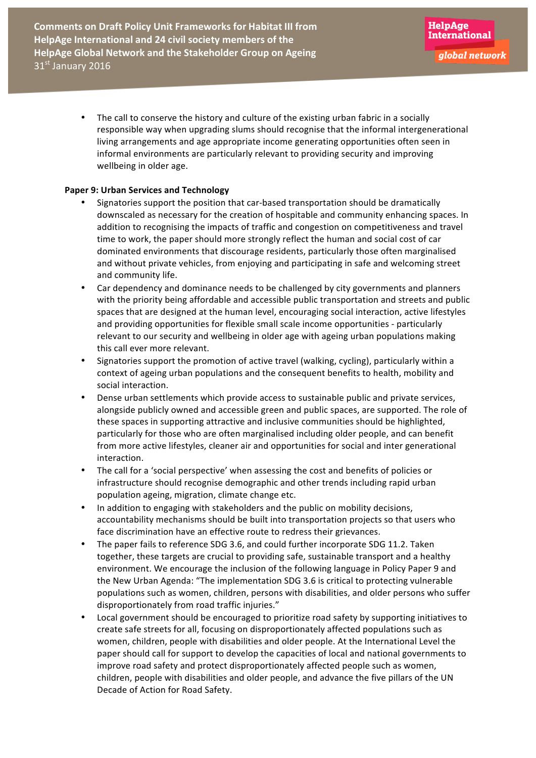The call to conserve the history and culture of the existing urban fabric in a socially responsible way when upgrading slums should recognise that the informal intergenerational living arrangements and age appropriate income generating opportunities often seen in informal environments are particularly relevant to providing security and improving wellbeing in older age.

# **Paper 9: Urban Services and Technology**

- Signatories support the position that car-based transportation should be dramatically downscaled as necessary for the creation of hospitable and community enhancing spaces. In addition to recognising the impacts of traffic and congestion on competitiveness and travel time to work, the paper should more strongly reflect the human and social cost of car dominated environments that discourage residents, particularly those often marginalised and without private vehicles, from enjoying and participating in safe and welcoming street and community life.
- Car dependency and dominance needs to be challenged by city governments and planners with the priority being affordable and accessible public transportation and streets and public spaces that are designed at the human level, encouraging social interaction, active lifestyles and providing opportunities for flexible small scale income opportunities - particularly relevant to our security and wellbeing in older age with ageing urban populations making this call ever more relevant.
- Signatories support the promotion of active travel (walking, cycling), particularly within a context of ageing urban populations and the consequent benefits to health, mobility and social interaction.
- Dense urban settlements which provide access to sustainable public and private services, alongside publicly owned and accessible green and public spaces, are supported. The role of these spaces in supporting attractive and inclusive communities should be highlighted, particularly for those who are often marginalised including older people, and can benefit from more active lifestyles, cleaner air and opportunities for social and inter generational interaction.
- The call for a 'social perspective' when assessing the cost and benefits of policies or infrastructure should recognise demographic and other trends including rapid urban population ageing, migration, climate change etc.
- In addition to engaging with stakeholders and the public on mobility decisions, accountability mechanisms should be built into transportation projects so that users who face discrimination have an effective route to redress their grievances.
- The paper fails to reference SDG 3.6, and could further incorporate SDG 11.2. Taken together, these targets are crucial to providing safe, sustainable transport and a healthy environment. We encourage the inclusion of the following language in Policy Paper 9 and the New Urban Agenda: "The implementation SDG 3.6 is critical to protecting vulnerable populations such as women, children, persons with disabilities, and older persons who suffer disproportionately from road traffic injuries."
- Local government should be encouraged to prioritize road safety by supporting initiatives to create safe streets for all, focusing on disproportionately affected populations such as women, children, people with disabilities and older people. At the International Level the paper should call for support to develop the capacities of local and national governments to improve road safety and protect disproportionately affected people such as women, children, people with disabilities and older people, and advance the five pillars of the UN Decade of Action for Road Safety.